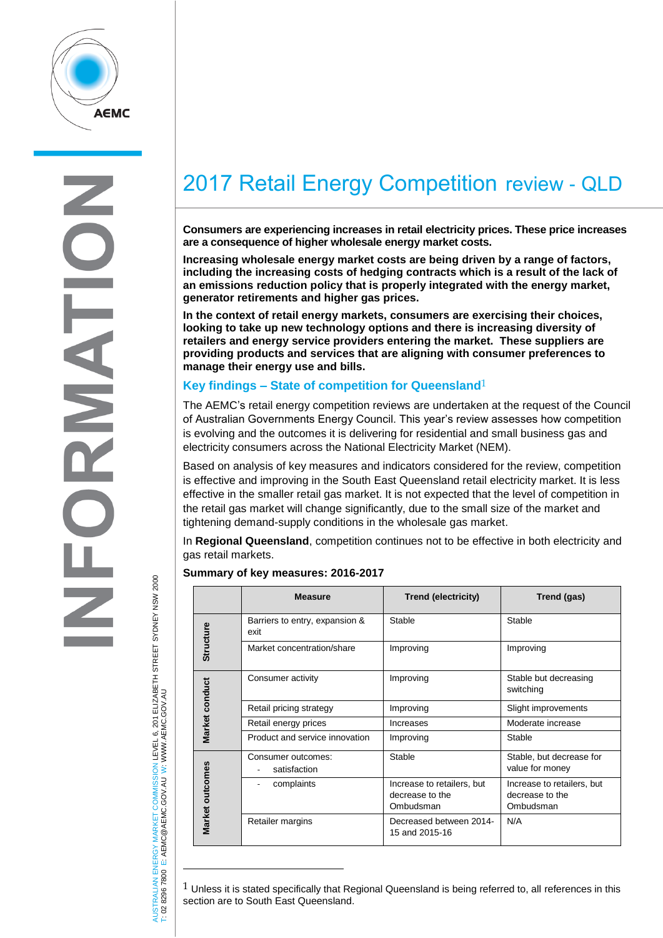

 $\overline{\mathbf{A}}$  $\frac{1}{2}$ 

# AUSTRALIAN ENERGY MARKET COMMISSION LEVEL 6, 201 ELIZABETH STREET SYDNEY NSM 2000<br>T: 02 8296 7800 E: AEMC@AEMC.GOV.AU W: WWW.AEMC.GOV.AU AUSTRALIAN ENERGY MARKET COMMISSION LEVEL 6, 201 ELIZABETH STREET SYDNEY NSW 2000 W: WWW.AEMC.GOV.AU T: 02 8296 7800 E: AEMC@AEMC.GOV.AU

 $\overline{a}$ 

# 2017 Retail Energy Competition review - QLD

**Consumers are experiencing increases in retail electricity prices. These price increases are a consequence of higher wholesale energy market costs.** 

**Increasing wholesale energy market costs are being driven by a range of factors, including the increasing costs of hedging contracts which is a result of the lack of an emissions reduction policy that is properly integrated with the energy market, generator retirements and higher gas prices.**

**In the context of retail energy markets, consumers are exercising their choices, looking to take up new technology options and there is increasing diversity of retailers and energy service providers entering the market. These suppliers are providing products and services that are aligning with consumer preferences to manage their energy use and bills.**

# **Key findings – State of competition for Queensland**1

The AEMC's retail energy competition reviews are undertaken at the request of the Council of Australian Governments Energy Council. This year's review assesses how competition is evolving and the outcomes it is delivering for residential and small business gas and electricity consumers across the National Electricity Market (NEM).

Based on analysis of key measures and indicators considered for the review, competition is effective and improving in the South East Queensland retail electricity market. It is less effective in the smaller retail gas market. It is not expected that the level of competition in the retail gas market will change significantly, due to the small size of the market and tightening demand-supply conditions in the wholesale gas market.

In **Regional Queensland**, competition continues not to be effective in both electricity and gas retail markets.

#### **Summary of key measures: 2016-2017**

|                  | <b>Measure</b>                                                                                                                                                                                                                                                                                                                                                                                                                                                                           | <b>Trend (electricity)</b>                                 | Trend (gas)                                                |
|------------------|------------------------------------------------------------------------------------------------------------------------------------------------------------------------------------------------------------------------------------------------------------------------------------------------------------------------------------------------------------------------------------------------------------------------------------------------------------------------------------------|------------------------------------------------------------|------------------------------------------------------------|
| Structure        | Barriers to entry, expansion &<br>exit                                                                                                                                                                                                                                                                                                                                                                                                                                                   | Stable                                                     | Stable                                                     |
|                  | Market concentration/share                                                                                                                                                                                                                                                                                                                                                                                                                                                               | Improving                                                  | Improving                                                  |
| Market conduct   | Consumer activity                                                                                                                                                                                                                                                                                                                                                                                                                                                                        | Improving                                                  | Stable but decreasing<br>switching                         |
|                  | Retail pricing strategy                                                                                                                                                                                                                                                                                                                                                                                                                                                                  | Improving                                                  | Slight improvements                                        |
|                  | Retail energy prices                                                                                                                                                                                                                                                                                                                                                                                                                                                                     | Increases                                                  | Moderate increase                                          |
|                  | Product and service innovation                                                                                                                                                                                                                                                                                                                                                                                                                                                           | Improving                                                  | Stable                                                     |
| Vlarket outcomes | Consumer outcomes:<br>satisfaction                                                                                                                                                                                                                                                                                                                                                                                                                                                       | Stable                                                     | Stable, but decrease for<br>value for money                |
|                  | complaints<br>$\frac{1}{2} \left( \frac{1}{2} \right) \left( \frac{1}{2} \right) \left( \frac{1}{2} \right) \left( \frac{1}{2} \right) \left( \frac{1}{2} \right) \left( \frac{1}{2} \right) \left( \frac{1}{2} \right) \left( \frac{1}{2} \right) \left( \frac{1}{2} \right) \left( \frac{1}{2} \right) \left( \frac{1}{2} \right) \left( \frac{1}{2} \right) \left( \frac{1}{2} \right) \left( \frac{1}{2} \right) \left( \frac{1}{2} \right) \left( \frac{1}{2} \right) \left( \frac$ | Increase to retailers, but<br>decrease to the<br>Ombudsman | Increase to retailers, but<br>decrease to the<br>Ombudsman |
|                  | Retailer margins                                                                                                                                                                                                                                                                                                                                                                                                                                                                         | Decreased between 2014-<br>15 and 2015-16                  | N/A                                                        |

 $1$  Unless it is stated specifically that Regional Queensland is being referred to, all references in this section are to South East Queensland.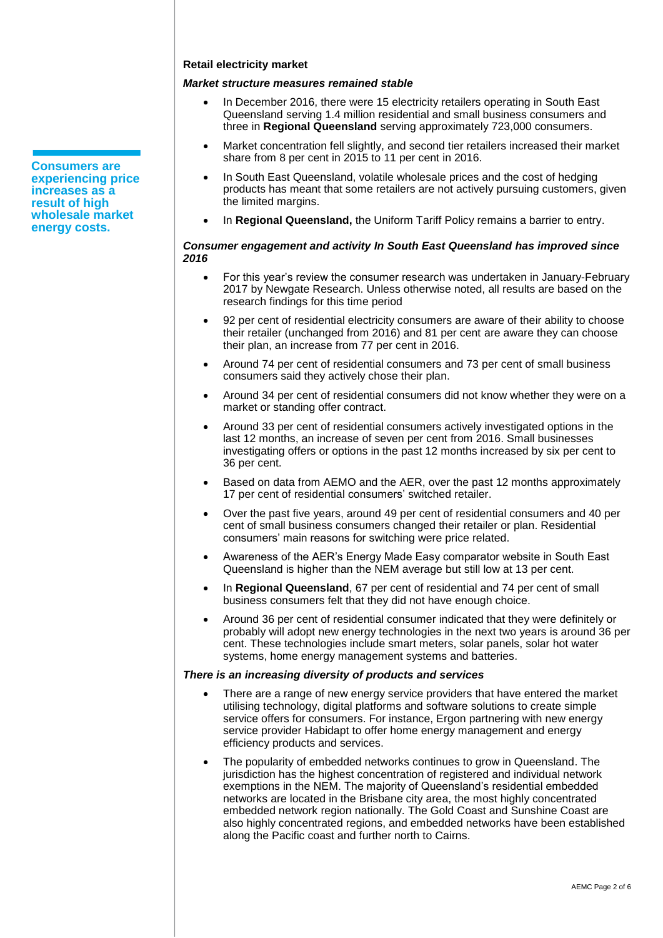#### **Retail electricity market**

# *Market structure measures remained stable*

- In December 2016, there were 15 electricity retailers operating in South East Queensland serving 1.4 million residential and small business consumers and three in **Regional Queensland** serving approximately 723,000 consumers.
- Market concentration fell slightly, and second tier retailers increased their market share from 8 per cent in 2015 to 11 per cent in 2016.
- In South East Queensland, volatile wholesale prices and the cost of hedging products has meant that some retailers are not actively pursuing customers, given the limited margins.
- In **Regional Queensland,** the Uniform Tariff Policy remains a barrier to entry.

#### *Consumer engagement and activity In South East Queensland has improved since 2016*

- For this year's review the consumer research was undertaken in January-February 2017 by Newgate Research. Unless otherwise noted, all results are based on the research findings for this time period
- 92 per cent of residential electricity consumers are aware of their ability to choose their retailer (unchanged from 2016) and 81 per cent are aware they can choose their plan, an increase from 77 per cent in 2016.
- Around 74 per cent of residential consumers and 73 per cent of small business consumers said they actively chose their plan.
- Around 34 per cent of residential consumers did not know whether they were on a market or standing offer contract.
- Around 33 per cent of residential consumers actively investigated options in the last 12 months, an increase of seven per cent from 2016. Small businesses investigating offers or options in the past 12 months increased by six per cent to 36 per cent.
- Based on data from AEMO and the AER, over the past 12 months approximately 17 per cent of residential consumers' switched retailer.
- Over the past five years, around 49 per cent of residential consumers and 40 per cent of small business consumers changed their retailer or plan. Residential consumers' main reasons for switching were price related.
- Awareness of the AER's Energy Made Easy comparator website in South East Queensland is higher than the NEM average but still low at 13 per cent.
- In **Regional Queensland**, 67 per cent of residential and 74 per cent of small business consumers felt that they did not have enough choice.
- Around 36 per cent of residential consumer indicated that they were definitely or probably will adopt new energy technologies in the next two years is around 36 per cent. These technologies include smart meters, solar panels, solar hot water systems, home energy management systems and batteries.

#### *There is an increasing diversity of products and services*

- There are a range of new energy service providers that have entered the market utilising technology, digital platforms and software solutions to create simple service offers for consumers. For instance, Ergon partnering with new energy service provider Habidapt to offer home energy management and energy efficiency products and services.
- The popularity of embedded networks continues to grow in Queensland. The jurisdiction has the highest concentration of registered and individual network exemptions in the NEM. The majority of Queensland's residential embedded networks are located in the Brisbane city area, the most highly concentrated embedded network region nationally. The Gold Coast and Sunshine Coast are also highly concentrated regions, and embedded networks have been established along the Pacific coast and further north to Cairns.

**Consumers are experiencing price increases as a result of high wholesale market energy costs.**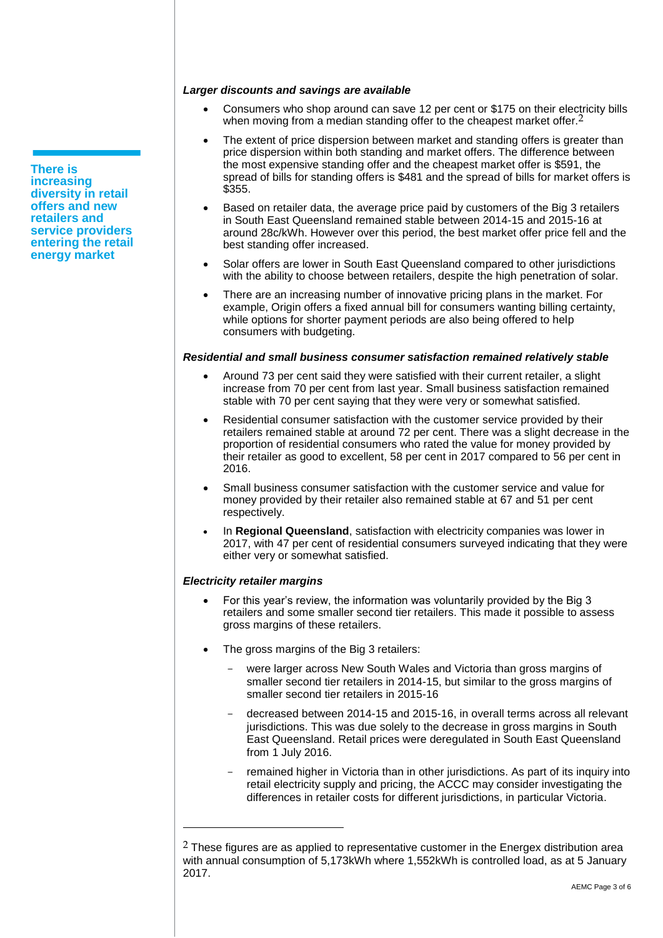**There is increasing diversity in retail offers and new retailers and service providers entering the retail energy market** 

#### *Larger discounts and savings are available*

- Consumers who shop around can save 12 per cent or \$175 on their electricity bills when moving from a median standing offer to the cheapest market offer.<sup>2</sup>
- The extent of price dispersion between market and standing offers is greater than price dispersion within both standing and market offers. The difference between the most expensive standing offer and the cheapest market offer is \$591, the spread of bills for standing offers is \$481 and the spread of bills for market offers is \$355.
- Based on retailer data, the average price paid by customers of the Big 3 retailers in South East Queensland remained stable between 2014-15 and 2015-16 at around 28c/kWh. However over this period, the best market offer price fell and the best standing offer increased.
- Solar offers are lower in South East Queensland compared to other jurisdictions with the ability to choose between retailers, despite the high penetration of solar.
- There are an increasing number of innovative pricing plans in the market. For example, Origin offers a fixed annual bill for consumers wanting billing certainty, while options for shorter payment periods are also being offered to help consumers with budgeting.

#### *Residential and small business consumer satisfaction remained relatively stable*

- Around 73 per cent said they were satisfied with their current retailer, a slight increase from 70 per cent from last year. Small business satisfaction remained stable with 70 per cent saying that they were very or somewhat satisfied.
- Residential consumer satisfaction with the customer service provided by their retailers remained stable at around 72 per cent. There was a slight decrease in the proportion of residential consumers who rated the value for money provided by their retailer as good to excellent, 58 per cent in 2017 compared to 56 per cent in 2016.
- Small business consumer satisfaction with the customer service and value for money provided by their retailer also remained stable at 67 and 51 per cent respectively.
- In **Regional Queensland**, satisfaction with electricity companies was lower in 2017, with 47 per cent of residential consumers surveyed indicating that they were either very or somewhat satisfied.

#### *Electricity retailer margins*

 $\overline{a}$ 

- For this year's review, the information was voluntarily provided by the Big 3 retailers and some smaller second tier retailers. This made it possible to assess gross margins of these retailers.
- The gross margins of the Big 3 retailers:
	- were larger across New South Wales and Victoria than gross margins of smaller second tier retailers in 2014-15, but similar to the gross margins of smaller second tier retailers in 2015-16
	- decreased between 2014-15 and 2015-16, in overall terms across all relevant jurisdictions. This was due solely to the decrease in gross margins in South East Queensland. Retail prices were deregulated in South East Queensland from 1 July 2016.
	- remained higher in Victoria than in other jurisdictions. As part of its inquiry into retail electricity supply and pricing, the ACCC may consider investigating the differences in retailer costs for different jurisdictions, in particular Victoria.

 $2$  These figures are as applied to representative customer in the Energex distribution area with annual consumption of 5,173kWh where 1,552kWh is controlled load, as at 5 January 2017.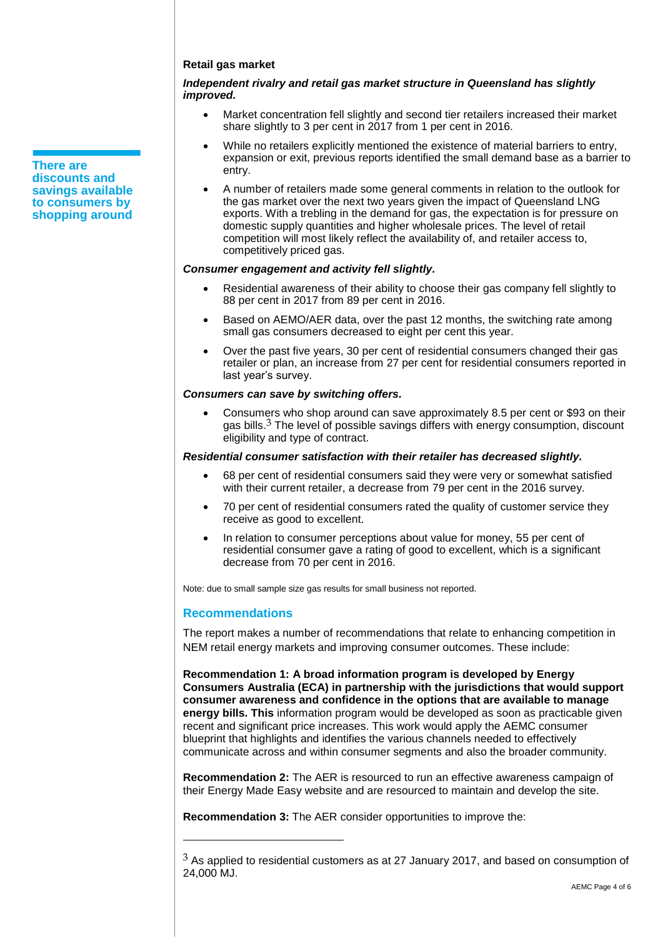#### **Retail gas market**

#### *Independent rivalry and retail gas market structure in Queensland has slightly improved.*

- Market concentration fell slightly and second tier retailers increased their market share slightly to 3 per cent in 2017 from 1 per cent in 2016.
- While no retailers explicitly mentioned the existence of material barriers to entry, expansion or exit, previous reports identified the small demand base as a barrier to entry.
- A number of retailers made some general comments in relation to the outlook for the gas market over the next two years given the impact of Queensland LNG exports. With a trebling in the demand for gas, the expectation is for pressure on domestic supply quantities and higher wholesale prices. The level of retail competition will most likely reflect the availability of, and retailer access to, competitively priced gas.

#### *Consumer engagement and activity fell slightly.*

- Residential awareness of their ability to choose their gas company fell slightly to 88 per cent in 2017 from 89 per cent in 2016.
- Based on AEMO/AER data, over the past 12 months, the switching rate among small gas consumers decreased to eight per cent this year.
- Over the past five years, 30 per cent of residential consumers changed their gas retailer or plan, an increase from 27 per cent for residential consumers reported in last year's survey.

#### *Consumers can save by switching offers.*

 Consumers who shop around can save approximately 8.5 per cent or \$93 on their gas bills. $3$  The level of possible savings differs with energy consumption, discount eligibility and type of contract.

#### *Residential consumer satisfaction with their retailer has decreased slightly.*

- 68 per cent of residential consumers said they were very or somewhat satisfied with their current retailer, a decrease from 79 per cent in the 2016 survey.
- 70 per cent of residential consumers rated the quality of customer service they receive as good to excellent.
- In relation to consumer perceptions about value for money, 55 per cent of residential consumer gave a rating of good to excellent, which is a significant decrease from 70 per cent in 2016.

Note: due to small sample size gas results for small business not reported.

#### **Recommendations**

 $\overline{a}$ 

The report makes a number of recommendations that relate to enhancing competition in NEM retail energy markets and improving consumer outcomes. These include:

**Recommendation 1: A broad information program is developed by Energy Consumers Australia (ECA) in partnership with the jurisdictions that would support consumer awareness and confidence in the options that are available to manage energy bills. This** information program would be developed as soon as practicable given recent and significant price increases. This work would apply the AEMC consumer blueprint that highlights and identifies the various channels needed to effectively communicate across and within consumer segments and also the broader community.

**Recommendation 2:** The AER is resourced to run an effective awareness campaign of their Energy Made Easy website and are resourced to maintain and develop the site.

**Recommendation 3:** The AER consider opportunities to improve the:

**There are discounts and savings available to consumers by shopping around**

 $3$  As applied to residential customers as at 27 January 2017, and based on consumption of 24,000 MJ.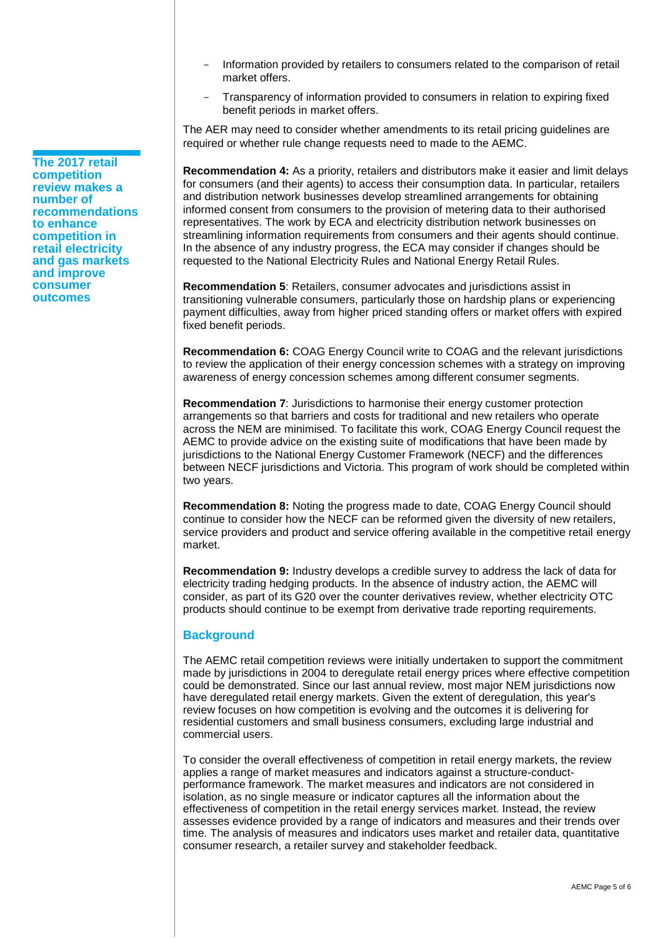- **The 2017 retail competition review makes a number of recommendations to enhance competition in retail electricity and gas markets and improve consumer outcomes**
- Information provided by retailers to consumers related to the comparison of retail market offers.
- Transparency of information provided to consumers in relation to expiring fixed benefit periods in market offers.

The AER may need to consider whether amendments to its retail pricing guidelines are required or whether rule change requests need to made to the AEMC.

**Recommendation 4:** As a priority, retailers and distributors make it easier and limit delays for consumers (and their agents) to access their consumption data. In particular, retailers and distribution network businesses develop streamlined arrangements for obtaining informed consent from consumers to the provision of metering data to their authorised representatives. The work by ECA and electricity distribution network businesses on streamlining information requirements from consumers and their agents should continue. In the absence of any industry progress, the ECA may consider if changes should be requested to the National Electricity Rules and National Energy Retail Rules.

**Recommendation 5**: Retailers, consumer advocates and jurisdictions assist in transitioning vulnerable consumers, particularly those on hardship plans or experiencing payment difficulties, away from higher priced standing offers or market offers with expired fixed benefit periods.

**Recommendation 6:** COAG Energy Council write to COAG and the relevant jurisdictions to review the application of their energy concession schemes with a strategy on improving awareness of energy concession schemes among different consumer segments.

**Recommendation 7**: Jurisdictions to harmonise their energy customer protection arrangements so that barriers and costs for traditional and new retailers who operate across the NEM are minimised. To facilitate this work, COAG Energy Council request the AEMC to provide advice on the existing suite of modifications that have been made by jurisdictions to the National Energy Customer Framework (NECF) and the differences between NECF jurisdictions and Victoria. This program of work should be completed within two years.

**Recommendation 8:** Noting the progress made to date, COAG Energy Council should continue to consider how the NECF can be reformed given the diversity of new retailers, service providers and product and service offering available in the competitive retail energy market.

**Recommendation 9:** Industry develops a credible survey to address the lack of data for electricity trading hedging products. In the absence of industry action, the AEMC will consider, as part of its G20 over the counter derivatives review, whether electricity OTC products should continue to be exempt from derivative trade reporting requirements.

# **Background**

The AEMC retail competition reviews were initially undertaken to support the commitment made by jurisdictions in 2004 to deregulate retail energy prices where effective competition could be demonstrated. Since our last annual review, most major NEM jurisdictions now have deregulated retail energy markets. Given the extent of deregulation, this year's review focuses on how competition is evolving and the outcomes it is delivering for residential customers and small business consumers, excluding large industrial and commercial users.

To consider the overall effectiveness of competition in retail energy markets, the review applies a range of market measures and indicators against a structure-conductperformance framework. The market measures and indicators are not considered in isolation, as no single measure or indicator captures all the information about the effectiveness of competition in the retail energy services market. Instead, the review assesses evidence provided by a range of indicators and measures and their trends over time. The analysis of measures and indicators uses market and retailer data, quantitative consumer research, a retailer survey and stakeholder feedback.